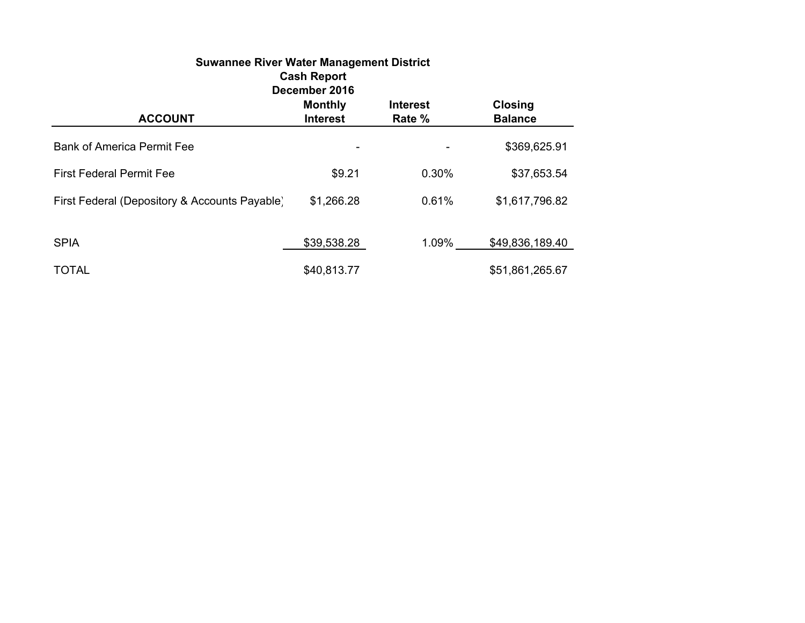| <b>Suwannee River Water Management District</b><br><b>Cash Report</b> |                                   |                           |                                  |  |  |
|-----------------------------------------------------------------------|-----------------------------------|---------------------------|----------------------------------|--|--|
| December 2016                                                         |                                   |                           |                                  |  |  |
| <b>ACCOUNT</b>                                                        | <b>Monthly</b><br><b>Interest</b> | <b>Interest</b><br>Rate % | <b>Closing</b><br><b>Balance</b> |  |  |
| <b>Bank of America Permit Fee</b>                                     |                                   |                           | \$369,625.91                     |  |  |
| <b>First Federal Permit Fee</b>                                       | \$9.21                            | 0.30%                     | \$37,653.54                      |  |  |
| First Federal (Depository & Accounts Payable)                         | \$1,266.28                        | 0.61%                     | \$1,617,796.82                   |  |  |
| <b>SPIA</b>                                                           | \$39,538.28                       | 1.09%                     | \$49,836,189.40                  |  |  |
| <b>TOTAL</b>                                                          | \$40,813.77                       |                           | \$51,861,265.67                  |  |  |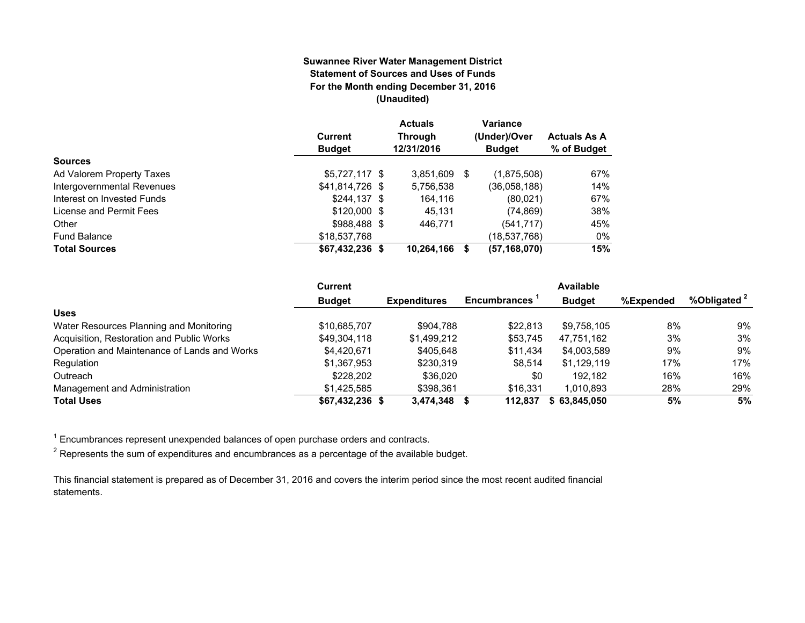#### **Suwannee River Water Management District Statement of Sources and Uses of FundsFor the Month ending December 31, 2016 (Unaudited)**

|                            | <b>Current</b><br><b>Budget</b> | <b>Actuals</b><br><b>Through</b><br>12/31/2016 |    | <b>Variance</b><br>(Under)/Over<br><b>Budget</b> | <b>Actuals As A</b><br>% of Budget |
|----------------------------|---------------------------------|------------------------------------------------|----|--------------------------------------------------|------------------------------------|
| <b>Sources</b>             |                                 |                                                |    |                                                  |                                    |
| Ad Valorem Property Taxes  | $$5,727,117$ \$                 | 3,851,609                                      | -S | (1,875,508)                                      | 67%                                |
| Intergovernmental Revenues | \$41,814,726 \$                 | 5,756,538                                      |    | (36,058,188)                                     | 14%                                |
| Interest on Invested Funds | $$244.137$ \$                   | 164,116                                        |    | (80,021)                                         | 67%                                |
| License and Permit Fees    | $$120,000$ \$                   | 45.131                                         |    | (74, 869)                                        | 38%                                |
| Other                      | \$988,488 \$                    | 446.771                                        |    | (541, 717)                                       | 45%                                |
| <b>Fund Balance</b>        | \$18,537,768                    |                                                |    | (18,537,768)                                     | 0%                                 |
| <b>Total Sources</b>       | $$67,432,236$ \$                | 10,264,166                                     |    | (57, 168, 070)                                   | 15%                                |

|                                              | <b>Current</b>  |                     |                     | Available     |           |                         |
|----------------------------------------------|-----------------|---------------------|---------------------|---------------|-----------|-------------------------|
|                                              | <b>Budget</b>   | <b>Expenditures</b> | <b>Encumbrances</b> | <b>Budget</b> | %Expended | %Obligated <sup>2</sup> |
| <b>Uses</b>                                  |                 |                     |                     |               |           |                         |
| Water Resources Planning and Monitoring      | \$10.685.707    | \$904.788           | \$22,813            | \$9.758.105   | 8%        | 9%                      |
| Acquisition, Restoration and Public Works    | \$49,304,118    | \$1,499,212         | \$53,745            | 47,751,162    | 3%        | 3%                      |
| Operation and Maintenance of Lands and Works | \$4.420.671     | \$405.648           | \$11.434            | \$4.003.589   | 9%        | 9%                      |
| Regulation                                   | \$1,367,953     | \$230.319           | \$8.514             | \$1.129.119   | 17%       | 17%                     |
| Outreach                                     | \$228,202       | \$36,020            | \$0                 | 192.182       | 16%       | 16%                     |
| Management and Administration                | \$1.425.585     | \$398,361           | \$16.331            | 1.010.893     | 28%       | 29%                     |
| <b>Total Uses</b>                            | \$67,432,236 \$ | 3,474,348           | 112.837             | \$63.845.050  | 5%        | 5%                      |

 $1$  Encumbrances represent unexpended balances of open purchase orders and contracts.

 $2$  Represents the sum of expenditures and encumbrances as a percentage of the available budget.

This financial statement is prepared as of December 31, 2016 and covers the interim period since the most recent audited financial statements.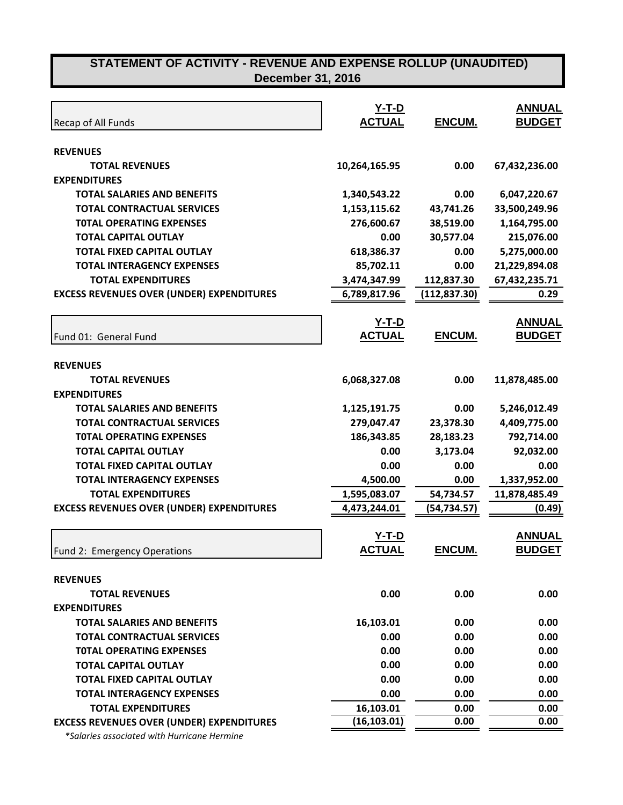|                                                  | $Y-T-D$       |               | <b>ANNUAL</b> |
|--------------------------------------------------|---------------|---------------|---------------|
| Recap of All Funds                               | <b>ACTUAL</b> | ENCUM.        | <b>BUDGET</b> |
|                                                  |               |               |               |
| <b>REVENUES</b>                                  |               |               |               |
| <b>TOTAL REVENUES</b>                            | 10,264,165.95 | 0.00          | 67,432,236.00 |
| <b>EXPENDITURES</b>                              |               |               |               |
| <b>TOTAL SALARIES AND BENEFITS</b>               | 1,340,543.22  | 0.00          | 6,047,220.67  |
| <b>TOTAL CONTRACTUAL SERVICES</b>                | 1,153,115.62  | 43,741.26     | 33,500,249.96 |
| <b>TOTAL OPERATING EXPENSES</b>                  | 276,600.67    | 38,519.00     | 1,164,795.00  |
| <b>TOTAL CAPITAL OUTLAY</b>                      | 0.00          | 30,577.04     | 215,076.00    |
| <b>TOTAL FIXED CAPITAL OUTLAY</b>                | 618,386.37    | 0.00          | 5,275,000.00  |
| <b>TOTAL INTERAGENCY EXPENSES</b>                | 85,702.11     | 0.00          | 21,229,894.08 |
| <b>TOTAL EXPENDITURES</b>                        | 3,474,347.99  | 112,837.30    | 67,432,235.71 |
| <b>EXCESS REVENUES OVER (UNDER) EXPENDITURES</b> | 6,789,817.96  | (112, 837.30) | 0.29          |
|                                                  | <u>Y-T-D</u>  |               | <b>ANNUAL</b> |
| Fund 01: General Fund                            | <b>ACTUAL</b> | ENCUM.        | <b>BUDGET</b> |
|                                                  |               |               |               |
| <b>REVENUES</b>                                  |               |               |               |
| <b>TOTAL REVENUES</b>                            | 6,068,327.08  | 0.00          | 11,878,485.00 |
| <b>EXPENDITURES</b>                              |               |               |               |
| <b>TOTAL SALARIES AND BENEFITS</b>               | 1,125,191.75  | 0.00          | 5,246,012.49  |
| <b>TOTAL CONTRACTUAL SERVICES</b>                | 279,047.47    | 23,378.30     | 4,409,775.00  |
| <b>TOTAL OPERATING EXPENSES</b>                  | 186,343.85    | 28,183.23     | 792,714.00    |
| <b>TOTAL CAPITAL OUTLAY</b>                      | 0.00          | 3,173.04      | 92,032.00     |
| <b>TOTAL FIXED CAPITAL OUTLAY</b>                | 0.00          | 0.00          | 0.00          |
| <b>TOTAL INTERAGENCY EXPENSES</b>                | 4,500.00      | 0.00          | 1,337,952.00  |
| <b>TOTAL EXPENDITURES</b>                        | 1,595,083.07  | 54,734.57     | 11,878,485.49 |
| <b>EXCESS REVENUES OVER (UNDER) EXPENDITURES</b> | 4,473,244.01  | (54, 734.57)  | (0.49)        |
|                                                  | Y-T-D         |               | <b>ANNUAL</b> |
| Fund 2: Emergency Operations                     | <b>ACTUAL</b> | <b>ENCUM.</b> | <b>BUDGET</b> |
|                                                  |               |               |               |
| <b>REVENUES</b>                                  |               |               |               |
| <b>TOTAL REVENUES</b>                            | 0.00          | 0.00          | 0.00          |
| <b>EXPENDITURES</b>                              |               |               |               |
| <b>TOTAL SALARIES AND BENEFITS</b>               | 16,103.01     | 0.00          | 0.00          |
| <b>TOTAL CONTRACTUAL SERVICES</b>                | 0.00          | 0.00          | 0.00          |
| <b>TOTAL OPERATING EXPENSES</b>                  | 0.00          | 0.00          | 0.00          |
| <b>TOTAL CAPITAL OUTLAY</b>                      | 0.00          | 0.00          | 0.00          |
| <b>TOTAL FIXED CAPITAL OUTLAY</b>                | 0.00          | 0.00          | 0.00          |
| <b>TOTAL INTERAGENCY EXPENSES</b>                | 0.00          | 0.00          | 0.00          |
| <b>TOTAL EXPENDITURES</b>                        | 16,103.01     | 0.00          | 0.00          |
| <b>EXCESS REVENUES OVER (UNDER) EXPENDITURES</b> | (16, 103.01)  | 0.00          | 0.00          |
|                                                  |               |               |               |

 *\*Salaries associated with Hurricane Hermine*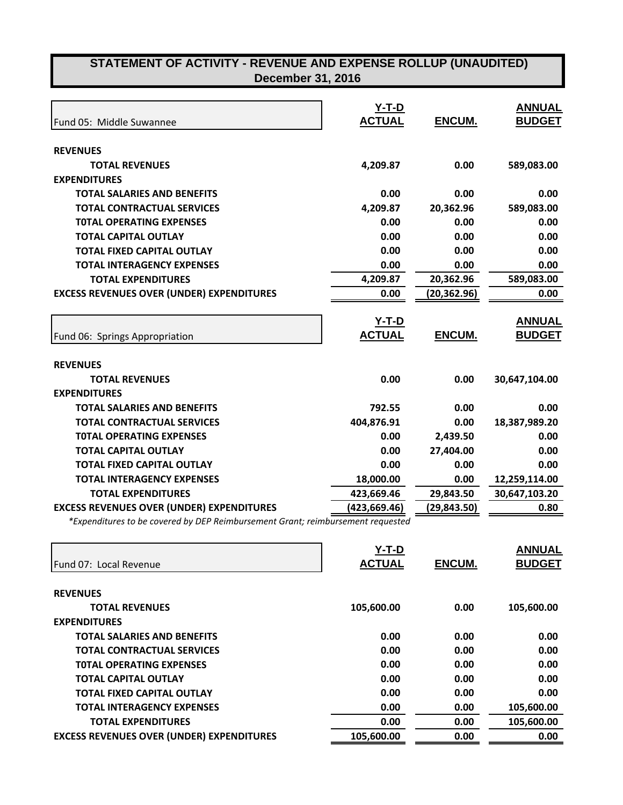| <b>December 31, 2016</b> |
|--------------------------|
|--------------------------|

| Fund 05: Middle Suwannee                                     | $Y-T-D$<br><b>ACTUAL</b> | <b>ENCUM.</b> | <b>ANNUAL</b><br><b>BUDGET</b> |
|--------------------------------------------------------------|--------------------------|---------------|--------------------------------|
|                                                              |                          |               |                                |
| <b>REVENUES</b>                                              |                          |               |                                |
| <b>TOTAL REVENUES</b>                                        | 4,209.87                 | 0.00          | 589,083.00                     |
| <b>EXPENDITURES</b>                                          |                          |               |                                |
| <b>TOTAL SALARIES AND BENEFITS</b>                           | 0.00                     | 0.00          | 0.00                           |
| <b>TOTAL CONTRACTUAL SERVICES</b>                            | 4,209.87                 | 20,362.96     | 589,083.00                     |
| <b>TOTAL OPERATING EXPENSES</b>                              | 0.00                     | 0.00          | 0.00                           |
| <b>TOTAL CAPITAL OUTLAY</b>                                  | 0.00                     | 0.00          | 0.00                           |
| <b>TOTAL FIXED CAPITAL OUTLAY</b>                            | 0.00                     | 0.00          | 0.00                           |
| <b>TOTAL INTERAGENCY EXPENSES</b>                            | 0.00                     | 0.00          | 0.00                           |
| <b>TOTAL EXPENDITURES</b>                                    | 4,209.87                 | 20,362.96     | 589,083.00                     |
| <b>EXCESS REVENUES OVER (UNDER) EXPENDITURES</b>             | 0.00                     | (20, 362.96)  | 0.00                           |
|                                                              |                          |               |                                |
|                                                              | $Y-T-D$                  |               | <b>ANNUAL</b>                  |
| Fund 06: Springs Appropriation                               | <b>ACTUAL</b>            | <b>ENCUM.</b> | <b>BUDGET</b>                  |
| <b>REVENUES</b>                                              |                          |               |                                |
| <b>TOTAL REVENUES</b>                                        | 0.00                     | 0.00          | 30,647,104.00                  |
| <b>EXPENDITURES</b>                                          |                          |               |                                |
| <b>TOTAL SALARIES AND BENEFITS</b>                           | 792.55                   | 0.00          | 0.00                           |
| <b>TOTAL CONTRACTUAL SERVICES</b>                            | 404,876.91               | 0.00          | 18,387,989.20                  |
| <b>TOTAL OPERATING EXPENSES</b>                              | 0.00                     | 2,439.50      | 0.00                           |
| <b>TOTAL CAPITAL OUTLAY</b>                                  | 0.00                     | 27,404.00     | 0.00                           |
| <b>TOTAL FIXED CAPITAL OUTLAY</b>                            | 0.00                     | 0.00          | 0.00                           |
| <b>TOTAL INTERAGENCY EXPENSES</b>                            | 18,000.00                | 0.00          | 12,259,114.00                  |
| <b>TOTAL EXPENDITURES</b>                                    | 423,669.46               | 29,843.50     | 30,647,103.20                  |
| <b>EXCESS REVENUES OVER (UNDER) EXPENDITURES</b>             | (423,669.46)             | (29, 843.50)  | 0.80                           |
| $*Funondit was to be squared by DCD Deinchurgement Cunit is$ | $m + m$                  |               |                                |

*\*Expenditures to be covered by DEP Reimbursement Grant; reimbursement requested*

| <b>ACTUAL</b><br><b>BUDGET</b><br><b>ENCUM.</b><br><b>Fund 07: Local Revenue</b><br><b>REVENUES</b><br>105,600.00<br><b>TOTAL REVENUES</b><br>0.00<br>105,600.00<br><b>EXPENDITURES</b><br><b>TOTAL SALARIES AND BENEFITS</b><br>0.00<br>0.00<br>0.00<br><b>TOTAL CONTRACTUAL SERVICES</b><br>0.00<br>0.00<br>0.00<br>0.00<br>0.00<br>0.00<br><b>TOTAL OPERATING EXPENSES</b><br>0.00<br>0.00<br>0.00<br><b>TOTAL CAPITAL OUTLAY</b><br><b>TOTAL FIXED CAPITAL OUTLAY</b><br>0.00<br>0.00<br>0.00<br>0.00<br><b>TOTAL INTERAGENCY EXPENSES</b><br>0.00<br>105,600.00<br>0.00<br>105,600.00<br>0.00<br><b>TOTAL EXPENDITURES</b> |                                                  | $Y-T-D$    |      | <b>ANNUAL</b> |
|---------------------------------------------------------------------------------------------------------------------------------------------------------------------------------------------------------------------------------------------------------------------------------------------------------------------------------------------------------------------------------------------------------------------------------------------------------------------------------------------------------------------------------------------------------------------------------------------------------------------------------|--------------------------------------------------|------------|------|---------------|
|                                                                                                                                                                                                                                                                                                                                                                                                                                                                                                                                                                                                                                 |                                                  |            |      |               |
|                                                                                                                                                                                                                                                                                                                                                                                                                                                                                                                                                                                                                                 |                                                  |            |      |               |
|                                                                                                                                                                                                                                                                                                                                                                                                                                                                                                                                                                                                                                 |                                                  |            |      |               |
|                                                                                                                                                                                                                                                                                                                                                                                                                                                                                                                                                                                                                                 |                                                  |            |      |               |
|                                                                                                                                                                                                                                                                                                                                                                                                                                                                                                                                                                                                                                 |                                                  |            |      |               |
|                                                                                                                                                                                                                                                                                                                                                                                                                                                                                                                                                                                                                                 |                                                  |            |      |               |
|                                                                                                                                                                                                                                                                                                                                                                                                                                                                                                                                                                                                                                 |                                                  |            |      |               |
|                                                                                                                                                                                                                                                                                                                                                                                                                                                                                                                                                                                                                                 |                                                  |            |      |               |
|                                                                                                                                                                                                                                                                                                                                                                                                                                                                                                                                                                                                                                 |                                                  |            |      |               |
|                                                                                                                                                                                                                                                                                                                                                                                                                                                                                                                                                                                                                                 |                                                  |            |      |               |
|                                                                                                                                                                                                                                                                                                                                                                                                                                                                                                                                                                                                                                 |                                                  |            |      |               |
|                                                                                                                                                                                                                                                                                                                                                                                                                                                                                                                                                                                                                                 |                                                  |            |      |               |
|                                                                                                                                                                                                                                                                                                                                                                                                                                                                                                                                                                                                                                 | <b>EXCESS REVENUES OVER (UNDER) EXPENDITURES</b> | 105,600.00 | 0.00 | 0.00          |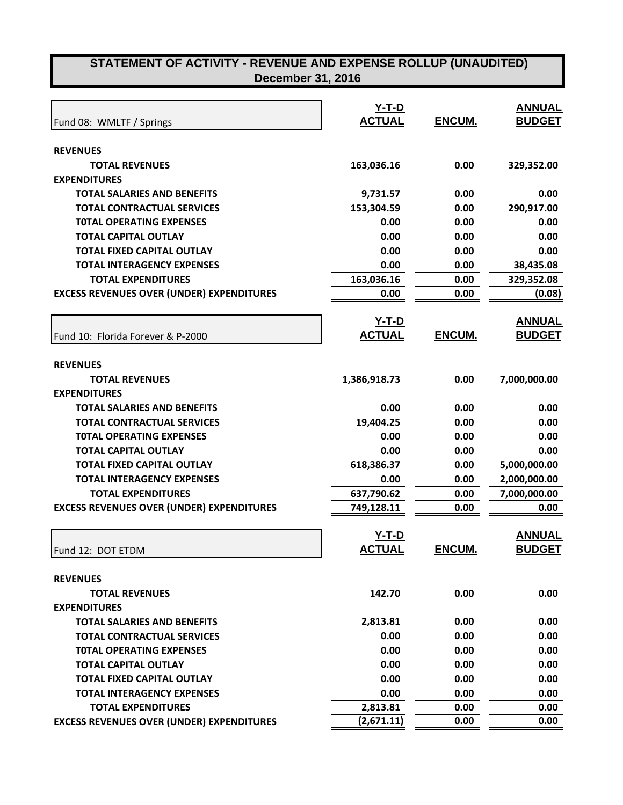|                                                  | $Y-T-D$                  |               | <b>ANNUAL</b>                  |
|--------------------------------------------------|--------------------------|---------------|--------------------------------|
| Fund 08: WMLTF / Springs                         | <b>ACTUAL</b>            | <b>ENCUM.</b> | <b>BUDGET</b>                  |
|                                                  |                          |               |                                |
| <b>REVENUES</b>                                  |                          |               |                                |
| <b>TOTAL REVENUES</b>                            | 163,036.16               | 0.00          | 329,352.00                     |
| <b>EXPENDITURES</b>                              |                          |               |                                |
| <b>TOTAL SALARIES AND BENEFITS</b>               | 9,731.57                 | 0.00          | 0.00                           |
| <b>TOTAL CONTRACTUAL SERVICES</b>                | 153,304.59               | 0.00          | 290,917.00                     |
| <b>TOTAL OPERATING EXPENSES</b>                  | 0.00                     | 0.00          | 0.00                           |
| <b>TOTAL CAPITAL OUTLAY</b>                      | 0.00                     | 0.00          | 0.00                           |
| <b>TOTAL FIXED CAPITAL OUTLAY</b>                | 0.00                     | 0.00          | 0.00                           |
| <b>TOTAL INTERAGENCY EXPENSES</b>                | 0.00                     | 0.00          | 38,435.08                      |
| <b>TOTAL EXPENDITURES</b>                        | 163,036.16               | 0.00          | 329,352.08                     |
| <b>EXCESS REVENUES OVER (UNDER) EXPENDITURES</b> | 0.00                     | 0.00          | (0.08)                         |
|                                                  | $Y-T-D$                  |               | <b>ANNUAL</b>                  |
| Fund 10: Florida Forever & P-2000                | <b>ACTUAL</b>            | ENCUM.        | <b>BUDGET</b>                  |
|                                                  |                          |               |                                |
| <b>REVENUES</b>                                  |                          |               |                                |
| <b>TOTAL REVENUES</b>                            | 1,386,918.73             | 0.00          | 7,000,000.00                   |
| <b>EXPENDITURES</b>                              |                          |               |                                |
| <b>TOTAL SALARIES AND BENEFITS</b>               | 0.00                     | 0.00          | 0.00                           |
| <b>TOTAL CONTRACTUAL SERVICES</b>                | 19,404.25                | 0.00          | 0.00                           |
| <b>TOTAL OPERATING EXPENSES</b>                  | 0.00                     | 0.00          | 0.00                           |
| <b>TOTAL CAPITAL OUTLAY</b>                      | 0.00                     | 0.00          | 0.00                           |
| <b>TOTAL FIXED CAPITAL OUTLAY</b>                | 618,386.37               | 0.00          | 5,000,000.00                   |
| <b>TOTAL INTERAGENCY EXPENSES</b>                | 0.00                     | 0.00          | 2,000,000.00                   |
| <b>TOTAL EXPENDITURES</b>                        | 637,790.62               | 0.00          | 7,000,000.00                   |
| <b>EXCESS REVENUES OVER (UNDER) EXPENDITURES</b> | 749,128.11               | 0.00          | 0.00                           |
|                                                  |                          |               |                                |
|                                                  | $Y-T-D$<br><b>ACTUAL</b> | <b>ENCUM</b>  | <b>ANNUAL</b><br><b>BUDGET</b> |
| Fund 12: DOT ETDM                                |                          |               |                                |
| <b>REVENUES</b>                                  |                          |               |                                |
| <b>TOTAL REVENUES</b>                            | 142.70                   | 0.00          | 0.00                           |
| <b>EXPENDITURES</b>                              |                          |               |                                |
| <b>TOTAL SALARIES AND BENEFITS</b>               | 2,813.81                 | 0.00          | 0.00                           |
| <b>TOTAL CONTRACTUAL SERVICES</b>                | 0.00                     | 0.00          | 0.00                           |
| <b>TOTAL OPERATING EXPENSES</b>                  | 0.00                     | 0.00          | 0.00                           |
| <b>TOTAL CAPITAL OUTLAY</b>                      | 0.00                     | 0.00          | 0.00                           |
| <b>TOTAL FIXED CAPITAL OUTLAY</b>                | 0.00                     | 0.00          | 0.00                           |
| <b>TOTAL INTERAGENCY EXPENSES</b>                | 0.00                     | 0.00          | 0.00                           |
| <b>TOTAL EXPENDITURES</b>                        | 2,813.81                 | 0.00          | 0.00                           |

Г

**EXCESS REVENUES OVER (UNDER) EXPENDITURES** (2,671.11) 0.00 0.00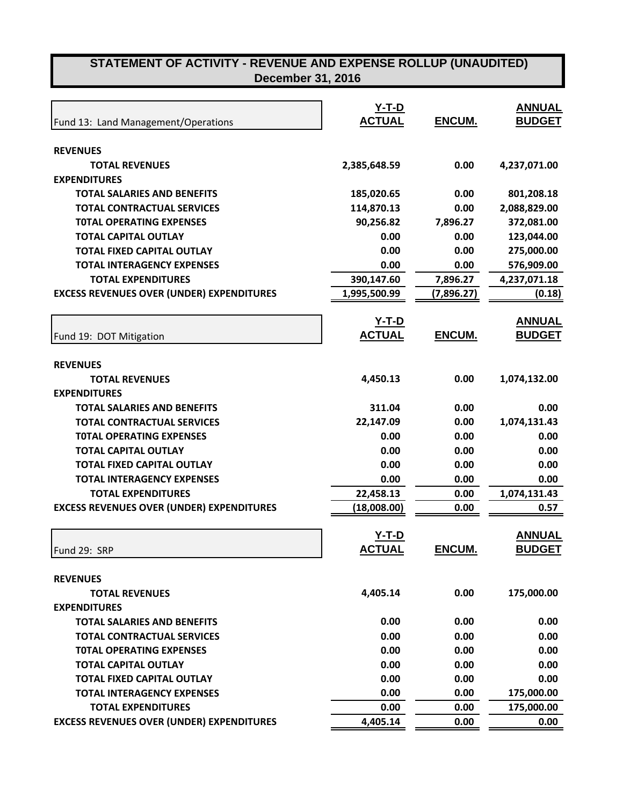| Fund 13: Land Management/Operations              | <u>Y-T-D</u><br><b>ACTUAL</b> | ENCUM.        | <b>ANNUAL</b><br><b>BUDGET</b> |
|--------------------------------------------------|-------------------------------|---------------|--------------------------------|
|                                                  |                               |               |                                |
| <b>REVENUES</b>                                  |                               |               |                                |
| <b>TOTAL REVENUES</b>                            | 2,385,648.59                  | 0.00          | 4,237,071.00                   |
| <b>EXPENDITURES</b>                              |                               |               |                                |
| <b>TOTAL SALARIES AND BENEFITS</b>               | 185,020.65                    | 0.00          | 801,208.18                     |
| <b>TOTAL CONTRACTUAL SERVICES</b>                | 114,870.13                    | 0.00          | 2,088,829.00                   |
| <b>TOTAL OPERATING EXPENSES</b>                  | 90,256.82                     | 7,896.27      | 372,081.00                     |
| <b>TOTAL CAPITAL OUTLAY</b>                      | 0.00                          | 0.00          | 123,044.00                     |
| <b>TOTAL FIXED CAPITAL OUTLAY</b>                | 0.00                          | 0.00          | 275,000.00                     |
| <b>TOTAL INTERAGENCY EXPENSES</b>                | 0.00                          | 0.00          | 576,909.00                     |
| <b>TOTAL EXPENDITURES</b>                        | 390,147.60                    | 7,896.27      | 4,237,071.18                   |
| <b>EXCESS REVENUES OVER (UNDER) EXPENDITURES</b> | 1,995,500.99                  | (7,896.27)    | (0.18)                         |
|                                                  | <u>Y-T-D</u>                  |               | <b>ANNUAL</b>                  |
| Fund 19: DOT Mitigation                          | <b>ACTUAL</b>                 | <b>ENCUM.</b> | <b>BUDGET</b>                  |
| <b>REVENUES</b>                                  |                               |               |                                |
| <b>TOTAL REVENUES</b>                            | 4,450.13                      | 0.00          | 1,074,132.00                   |
| <b>EXPENDITURES</b>                              |                               |               |                                |
| <b>TOTAL SALARIES AND BENEFITS</b>               | 311.04                        | 0.00          | 0.00                           |
| <b>TOTAL CONTRACTUAL SERVICES</b>                | 22,147.09                     | 0.00          | 1,074,131.43                   |
| <b>TOTAL OPERATING EXPENSES</b>                  | 0.00                          | 0.00          | 0.00                           |
| <b>TOTAL CAPITAL OUTLAY</b>                      | 0.00                          | 0.00          | 0.00                           |
| <b>TOTAL FIXED CAPITAL OUTLAY</b>                | 0.00                          | 0.00          | 0.00                           |
| <b>TOTAL INTERAGENCY EXPENSES</b>                | 0.00                          | 0.00          | 0.00                           |
| <b>TOTAL EXPENDITURES</b>                        | 22,458.13                     | 0.00          | 1,074,131.43                   |
| <b>EXCESS REVENUES OVER (UNDER) EXPENDITURES</b> | (18,008.00)                   | 0.00          | 0.57                           |
|                                                  | $Y-T-D$                       |               | <b>ANNUAL</b>                  |
|                                                  | <b>ACTUAL</b>                 | ENCUM.        | <b>BUDGET</b>                  |
| Fund 29: SRP                                     |                               |               |                                |
| <b>REVENUES</b>                                  |                               |               |                                |
| <b>TOTAL REVENUES</b>                            | 4,405.14                      | 0.00          | 175,000.00                     |
| <b>EXPENDITURES</b>                              |                               |               |                                |
| <b>TOTAL SALARIES AND BENEFITS</b>               | 0.00                          | 0.00          | 0.00                           |
| <b>TOTAL CONTRACTUAL SERVICES</b>                | 0.00                          | 0.00          | 0.00                           |
| <b>TOTAL OPERATING EXPENSES</b>                  | 0.00                          | 0.00          | 0.00                           |
| <b>TOTAL CAPITAL OUTLAY</b>                      | 0.00                          | 0.00          | 0.00                           |
| <b>TOTAL FIXED CAPITAL OUTLAY</b>                | 0.00                          | 0.00          | 0.00                           |
| <b>TOTAL INTERAGENCY EXPENSES</b>                | 0.00                          | 0.00          | 175,000.00                     |
| <b>TOTAL EXPENDITURES</b>                        | 0.00                          | 0.00          | 175,000.00                     |
| <b>EXCESS REVENUES OVER (UNDER) EXPENDITURES</b> | 4,405.14                      | 0.00          | 0.00                           |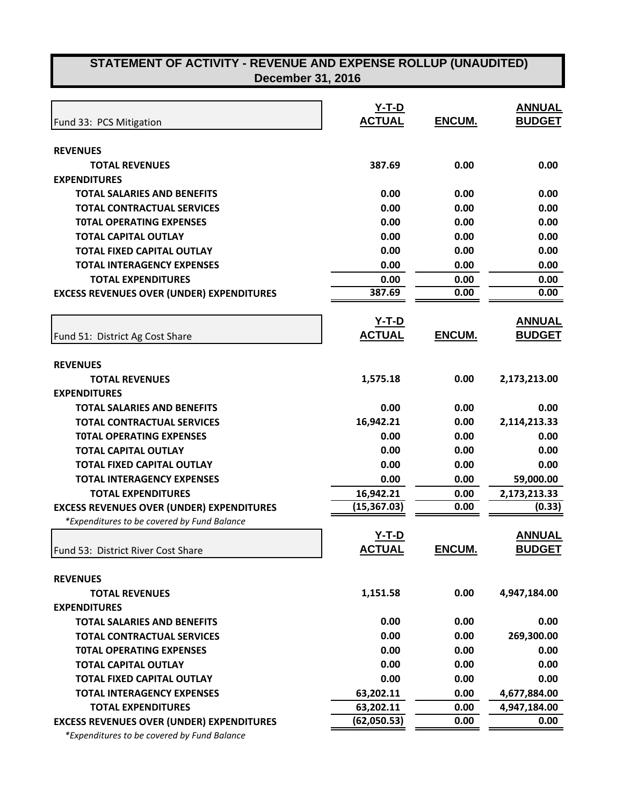| <b>December 31, 2016</b> |
|--------------------------|
|--------------------------|

|                                                                         | $Y-T-D$       |               | <b>ANNUAL</b> |
|-------------------------------------------------------------------------|---------------|---------------|---------------|
| Fund 33: PCS Mitigation                                                 | <b>ACTUAL</b> | ENCUM.        | <b>BUDGET</b> |
|                                                                         |               |               |               |
| <b>REVENUES</b>                                                         |               |               |               |
| <b>TOTAL REVENUES</b>                                                   | 387.69        | 0.00          | 0.00          |
| <b>EXPENDITURES</b>                                                     |               |               |               |
| <b>TOTAL SALARIES AND BENEFITS</b><br><b>TOTAL CONTRACTUAL SERVICES</b> | 0.00<br>0.00  | 0.00<br>0.00  | 0.00<br>0.00  |
|                                                                         | 0.00          | 0.00          |               |
| <b>TOTAL OPERATING EXPENSES</b>                                         |               |               | 0.00          |
| <b>TOTAL CAPITAL OUTLAY</b>                                             | 0.00          | 0.00          | 0.00          |
| <b>TOTAL FIXED CAPITAL OUTLAY</b>                                       | 0.00          | 0.00          | 0.00          |
| <b>TOTAL INTERAGENCY EXPENSES</b>                                       | 0.00          | 0.00          | 0.00          |
| <b>TOTAL EXPENDITURES</b>                                               | 0.00          | 0.00          | 0.00          |
| <b>EXCESS REVENUES OVER (UNDER) EXPENDITURES</b>                        | 387.69        | 0.00          | 0.00          |
|                                                                         | $Y-T-D$       |               | <b>ANNUAL</b> |
| Fund 51: District Ag Cost Share                                         | <b>ACTUAL</b> | <b>ENCUM.</b> | <b>BUDGET</b> |
|                                                                         |               |               |               |
| <b>REVENUES</b><br><b>TOTAL REVENUES</b>                                | 1,575.18      | 0.00          | 2,173,213.00  |
| <b>EXPENDITURES</b>                                                     |               |               |               |
| <b>TOTAL SALARIES AND BENEFITS</b>                                      | 0.00          | 0.00          | 0.00          |
|                                                                         |               |               |               |
| <b>TOTAL CONTRACTUAL SERVICES</b>                                       | 16,942.21     | 0.00          | 2,114,213.33  |
| <b>TOTAL OPERATING EXPENSES</b>                                         | 0.00          | 0.00          | 0.00          |
| <b>TOTAL CAPITAL OUTLAY</b>                                             | 0.00          | 0.00          | 0.00          |
| <b>TOTAL FIXED CAPITAL OUTLAY</b>                                       | 0.00          | 0.00          | 0.00          |
| <b>TOTAL INTERAGENCY EXPENSES</b>                                       | 0.00          | 0.00          | 59,000.00     |
| <b>TOTAL EXPENDITURES</b>                                               | 16,942.21     | 0.00          | 2,173,213.33  |
| <b>EXCESS REVENUES OVER (UNDER) EXPENDITURES</b>                        | (15, 367.03)  | 0.00          | (0.33)        |
| *Expenditures to be covered by Fund Balance                             | $Y-T-D$       |               | <b>ANNUAL</b> |
| Fund 53: District River Cost Share                                      | <b>ACTUAL</b> | <b>ENCUM.</b> | <b>BUDGET</b> |
|                                                                         |               |               |               |
| <b>REVENUES</b>                                                         |               |               |               |
| <b>TOTAL REVENUES</b>                                                   | 1,151.58      | 0.00          | 4,947,184.00  |
| <b>EXPENDITURES</b>                                                     |               |               |               |
| <b>TOTAL SALARIES AND BENEFITS</b>                                      | 0.00          | 0.00          | 0.00          |
| <b>TOTAL CONTRACTUAL SERVICES</b>                                       | 0.00          | 0.00          | 269,300.00    |
| <b>TOTAL OPERATING EXPENSES</b>                                         | 0.00          | 0.00          | 0.00          |
| <b>TOTAL CAPITAL OUTLAY</b>                                             | 0.00          | 0.00          | 0.00          |
| <b>TOTAL FIXED CAPITAL OUTLAY</b>                                       | 0.00          | 0.00          | 0.00          |
| <b>TOTAL INTERAGENCY EXPENSES</b>                                       | 63,202.11     | 0.00          | 4,677,884.00  |
| <b>TOTAL EXPENDITURES</b>                                               | 63,202.11     | 0.00          | 4,947,184.00  |
| <b>EXCESS REVENUES OVER (UNDER) EXPENDITURES</b>                        | (62,050.53)   | 0.00          | 0.00          |
| aditurnate he couseed by Fund Delance                                   |               |               |               |

 *\*Expenditures to be covered by Fund Balance*